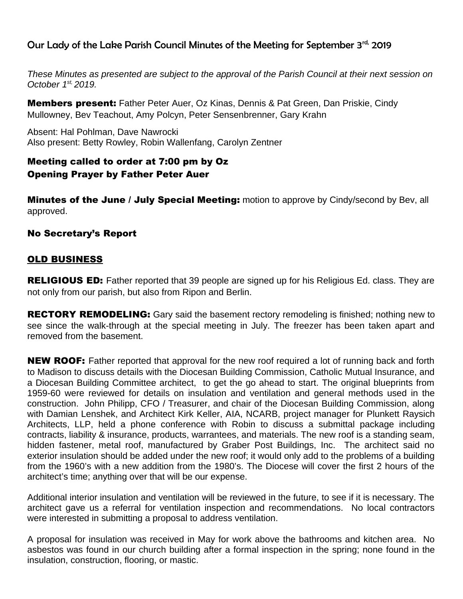# Our Lady of the Lake Parish Council Minutes of the Meeting for September 3rd, 2019

*These Minutes as presented are subject to the approval of the Parish Council at their next session on October 1st, 2019.* 

**Members present:** Father Peter Auer, Oz Kinas, Dennis & Pat Green, Dan Priskie, Cindy Mullowney, Bev Teachout, Amy Polcyn, Peter Sensenbrenner, Gary Krahn

Absent: Hal Pohlman, Dave Nawrocki Also present: Betty Rowley, Robin Wallenfang, Carolyn Zentner

## Meeting called to order at 7:00 pm by Oz Opening Prayer by Father Peter Auer

**Minutes of the June / July Special Meeting:** motion to approve by Cindy/second by Bev, all approved.

## No Secretary's Report

## OLD BUSINESS

**RELIGIOUS ED:** Father reported that 39 people are signed up for his Religious Ed. class. They are not only from our parish, but also from Ripon and Berlin.

**RECTORY REMODELING:** Gary said the basement rectory remodeling is finished; nothing new to see since the walk-through at the special meeting in July. The freezer has been taken apart and removed from the basement.

**NEW ROOF:** Father reported that approval for the new roof required a lot of running back and forth to Madison to discuss details with the Diocesan Building Commission, Catholic Mutual Insurance, and a Diocesan Building Committee architect, to get the go ahead to start. The original blueprints from 1959-60 were reviewed for details on insulation and ventilation and general methods used in the construction. John Philipp, CFO / Treasurer, and chair of the Diocesan Building Commission, along with Damian Lenshek, and Architect Kirk Keller, AIA, NCARB, project manager for Plunkett Raysich Architects, LLP, held a phone conference with Robin to discuss a submittal package including contracts, liability & insurance, products, warrantees, and materials. The new roof is a standing seam, hidden fastener, metal roof, manufactured by Graber Post Buildings, Inc. The architect said no exterior insulation should be added under the new roof; it would only add to the problems of a building from the 1960's with a new addition from the 1980's. The Diocese will cover the first 2 hours of the architect's time; anything over that will be our expense.

Additional interior insulation and ventilation will be reviewed in the future, to see if it is necessary. The architect gave us a referral for ventilation inspection and recommendations. No local contractors were interested in submitting a proposal to address ventilation.

A proposal for insulation was received in May for work above the bathrooms and kitchen area. No asbestos was found in our church building after a formal inspection in the spring; none found in the insulation, construction, flooring, or mastic.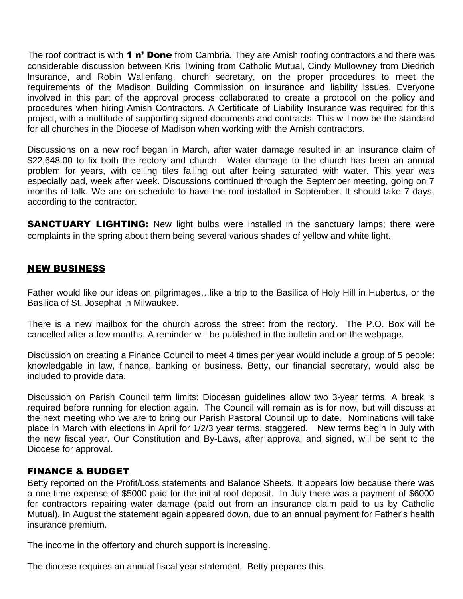The roof contract is with **1 n' Done** from Cambria. They are Amish roofing contractors and there was considerable discussion between Kris Twining from Catholic Mutual, Cindy Mullowney from Diedrich Insurance, and Robin Wallenfang, church secretary, on the proper procedures to meet the requirements of the Madison Building Commission on insurance and liability issues. Everyone involved in this part of the approval process collaborated to create a protocol on the policy and procedures when hiring Amish Contractors. A Certificate of Liability Insurance was required for this project, with a multitude of supporting signed documents and contracts. This will now be the standard for all churches in the Diocese of Madison when working with the Amish contractors.

Discussions on a new roof began in March, after water damage resulted in an insurance claim of \$22,648.00 to fix both the rectory and church. Water damage to the church has been an annual problem for years, with ceiling tiles falling out after being saturated with water. This year was especially bad, week after week. Discussions continued through the September meeting, going on 7 months of talk. We are on schedule to have the roof installed in September. It should take 7 days, according to the contractor.

**SANCTUARY LIGHTING:** New light bulbs were installed in the sanctuary lamps; there were complaints in the spring about them being several various shades of yellow and white light.

#### NEW BUSINESS

Father would like our ideas on pilgrimages…like a trip to the Basilica of Holy Hill in Hubertus, or the Basilica of St. Josephat in Milwaukee.

There is a new mailbox for the church across the street from the rectory. The P.O. Box will be cancelled after a few months. A reminder will be published in the bulletin and on the webpage.

Discussion on creating a Finance Council to meet 4 times per year would include a group of 5 people: knowledgable in law, finance, banking or business. Betty, our financial secretary, would also be included to provide data.

Discussion on Parish Council term limits: Diocesan guidelines allow two 3-year terms. A break is required before running for election again. The Council will remain as is for now, but will discuss at the next meeting who we are to bring our Parish Pastoral Council up to date. Nominations will take place in March with elections in April for 1/2/3 year terms, staggered. New terms begin in July with the new fiscal year. Our Constitution and By-Laws, after approval and signed, will be sent to the Diocese for approval.

## FINANCE & BUDGET

Betty reported on the Profit/Loss statements and Balance Sheets. It appears low because there was a one-time expense of \$5000 paid for the initial roof deposit. In July there was a payment of \$6000 for contractors repairing water damage (paid out from an insurance claim paid to us by Catholic Mutual). In August the statement again appeared down, due to an annual payment for Father's health insurance premium.

The income in the offertory and church support is increasing.

The diocese requires an annual fiscal year statement. Betty prepares this.